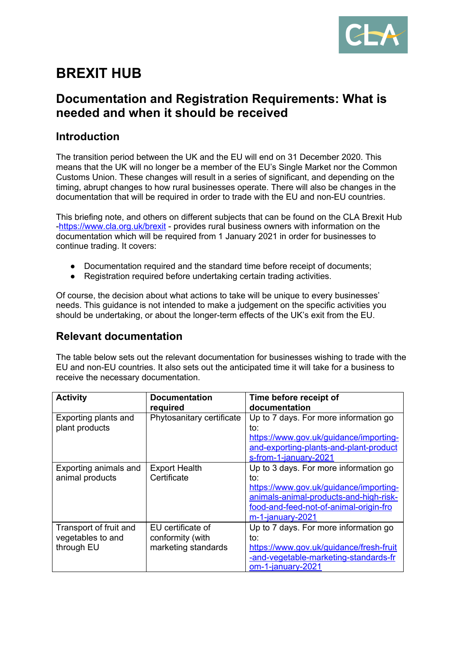

# **BREXIT HUB**

### **Documentation and Registration Requirements: What is needed and when it should be received**

#### **Introduction**

The transition period between the UK and the EU will end on 31 December 2020. This means that the UK will no longer be a member of the EU's Single Market nor the Common Customs Union. These changes will result in a series of significant, and depending on the timing, abrupt changes to how rural businesses operate. There will also be changes in the documentation that will be required in order to trade with the EU and non-EU countries.

This briefing note, and others on different subjects that can be found on the CLA Brexit Hub -<https://www.cla.org.uk/brexit> - provides rural business owners with information on the documentation which will be required from 1 January 2021 in order for businesses to continue trading. It covers:

- Documentation required and the standard time before receipt of documents;
- Registration required before undertaking certain trading activities.

Of course, the decision about what actions to take will be unique to every businesses' needs. This guidance is not intended to make a judgement on the specific activities you should be undertaking, or about the longer-term effects of the UK's exit from the EU.

#### **Relevant documentation**

The table below sets out the relevant documentation for businesses wishing to trade with the EU and non-EU countries. It also sets out the anticipated time it will take for a business to receive the necessary documentation.

| <b>Activity</b>        | <b>Documentation</b>      | Time before receipt of                  |
|------------------------|---------------------------|-----------------------------------------|
|                        | required                  | documentation                           |
| Exporting plants and   | Phytosanitary certificate | Up to 7 days. For more information go   |
| plant products         |                           | to:                                     |
|                        |                           | https://www.gov.uk/guidance/importing-  |
|                        |                           | and-exporting-plants-and-plant-product  |
|                        |                           | s-from-1-january-2021                   |
| Exporting animals and  | <b>Export Health</b>      | Up to 3 days. For more information go   |
| animal products        | Certificate               | to:                                     |
|                        |                           | https://www.gov.uk/guidance/importing-  |
|                        |                           | animals-animal-products-and-high-risk-  |
|                        |                           | food-and-feed-not-of-animal-origin-fro  |
|                        |                           | $m-1$ -january-2021                     |
| Transport of fruit and | EU certificate of         | Up to 7 days. For more information go   |
| vegetables to and      | conformity (with          | to:                                     |
| through EU             | marketing standards       | https://www.gov.uk/guidance/fresh-fruit |
|                        |                           | -and-vegetable-marketing-standards-fr   |
|                        |                           | om-1-january-2021                       |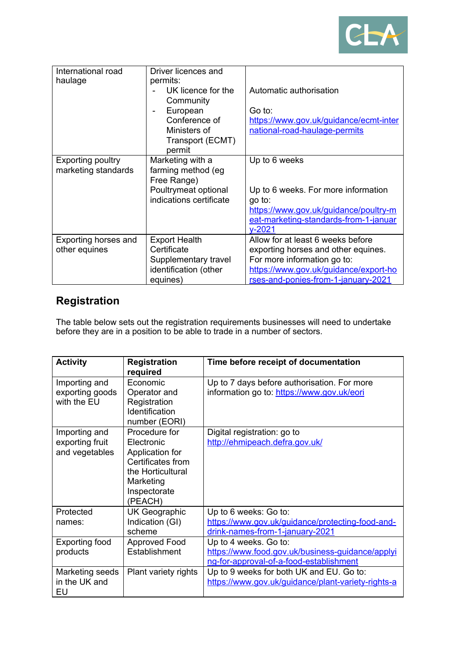

| International road<br>haulage                   | Driver licences and<br>permits:<br>UK licence for the<br>Community<br>European<br>Conference of<br>Ministers of<br>Transport (ECMT)<br>permit | Automatic authorisation<br>Go to:<br>https://www.gov.uk/guidance/ecmt-inter<br>national-road-haulage-permits                                                                            |
|-------------------------------------------------|-----------------------------------------------------------------------------------------------------------------------------------------------|-----------------------------------------------------------------------------------------------------------------------------------------------------------------------------------------|
| <b>Exporting poultry</b><br>marketing standards | Marketing with a<br>farming method (eg<br>Free Range)<br>Poultrymeat optional<br>indications certificate                                      | Up to 6 weeks<br>Up to 6 weeks. For more information<br>go to:<br>https://www.gov.uk/guidance/poultry-m<br>eat-marketing-standards-from-1-januar<br>$v - 2021$                          |
| <b>Exporting horses and</b><br>other equines    | <b>Export Health</b><br>Certificate<br>Supplementary travel<br>identification (other<br>equines)                                              | Allow for at least 6 weeks before<br>exporting horses and other equines.<br>For more information go to:<br>https://www.gov.uk/guidance/export-ho<br>rses-and-ponies-from-1-january-2021 |

## **Registration**

The table below sets out the registration requirements businesses will need to undertake before they are in a position to be able to trade in a number of sectors.

| <b>Activity</b>                                    | <b>Registration</b><br>required                                                                                                  | Time before receipt of documentation                                                                                 |
|----------------------------------------------------|----------------------------------------------------------------------------------------------------------------------------------|----------------------------------------------------------------------------------------------------------------------|
| Importing and<br>exporting goods<br>with the EU    | Economic<br>Operator and<br>Registration<br>Identification<br>number (EORI)                                                      | Up to 7 days before authorisation. For more<br>information go to: https://www.gov.uk/eori                            |
| Importing and<br>exporting fruit<br>and vegetables | Procedure for<br>Electronic<br>Application for<br>Certificates from<br>the Horticultural<br>Marketing<br>Inspectorate<br>(PEACH) | Digital registration: go to<br>http://ehmipeach.defra.gov.uk/                                                        |
| Protected<br>names:                                | UK Geographic<br>Indication (GI)<br>scheme                                                                                       | Up to 6 weeks: Go to:<br>https://www.gov.uk/guidance/protecting-food-and-<br>drink-names-from-1-january-2021         |
| <b>Exporting food</b><br>products                  | <b>Approved Food</b><br>Establishment                                                                                            | Up to 4 weeks. Go to:<br>https://www.food.gov.uk/business-guidance/applyi<br>ng-for-approval-of-a-food-establishment |
| Marketing seeds<br>in the UK and<br>EU             | Plant variety rights                                                                                                             | Up to 9 weeks for both UK and EU. Go to:<br>https://www.gov.uk/guidance/plant-variety-rights-a                       |